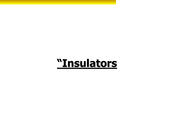# **"Insulators**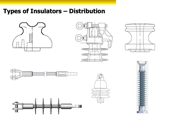## **Types of Insulators – Distribution**











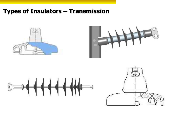### **Types of Insulators – Transmission**







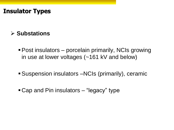### **Insulator Types**

### **Substations**

- Post insulators porcelain primarily, NCIs growing in use at lower voltages (~161 kV and below)
- Suspension insulators –NCIs (primarily), ceramic
- Cap and Pin insulators "legacy" type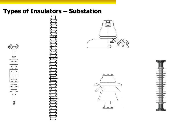

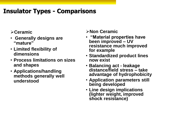## **Insulator Types - Comparisons**

#### **Ceramic**

- **Generally designs are "mature"**
- **Limited flexibility of dimensions**
- **Process limitations on sizes and shapes**
- **Applications/handling methods generally well understood**

#### **Non Ceramic**

- **"Material properties have been improved – UV resistance much improved for example**
- **Standardized product lines now exist**
- **Balancing act - leakage distance/field stress – take advantage of hydrophobicity**
- **Application parameters still being developed**
- **Line design implications (lighter weight, improved shock resistance)**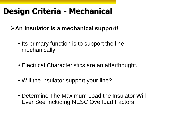## **Design Criteria - Mechanical**

**An insulator is a mechanical support!**

- Its primary function is to support the line mechanically
- Electrical Characteristics are an afterthought.
- Will the insulator support your line?
- Determine The Maximum Load the Insulator Will Ever See Including NESC Overload Factors.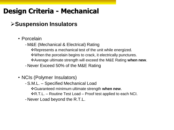## **Design Criteria - Mechanical**

### **Suspension Insulators**

### • Porcelain

- M&E (Mechanical & Electrical) Rating

\* Represents a mechanical test of the unit while energized.

When the porcelain begins to crack, it electrically punctures.

Average ultimate strength will exceed the M&E Rating **when new**.

- Never Exceed 50% of the M&E Rating

### • NCIs (Polymer Insulators)

-S.M.L. – Specified Mechanical Load

Guaranteed minimum ultimate strength **when new**.

 $R.R.L. -$  Routine Test Load – Proof test applied to each NCI.

- Never Load beyond the R.T.L.